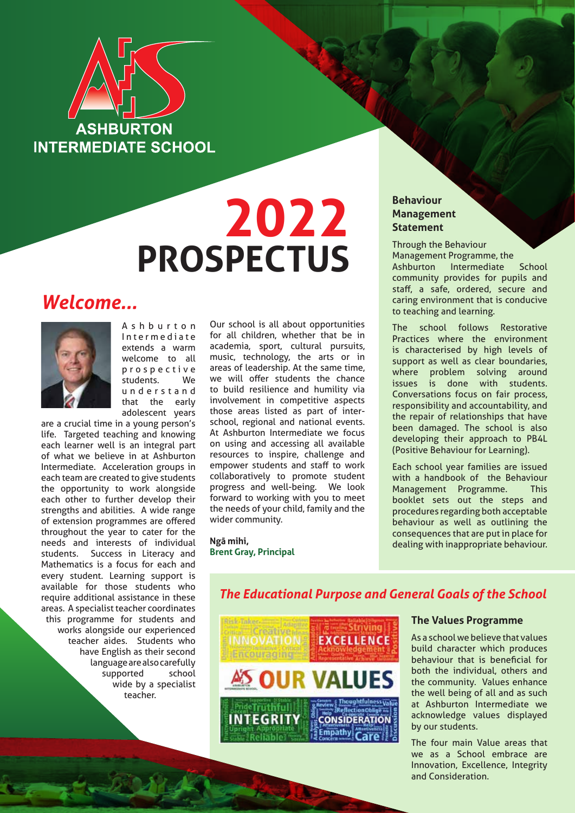

# **PROSPECTUS 2022**

# *Welcome...*



A s h b u r t o n I n t e r m e d i a t e extends a warm welcome to all p r o s p e c t i v e students. We u n d e r s t a n d that the early adolescent years

are a crucial time in a young person's life. Targeted teaching and knowing each learner well is an integral part of what we believe in at Ashburton Intermediate. Acceleration groups in each team are created to give students the opportunity to work alongside each other to further develop their strengths and abilities. A wide range of extension programmes are offered throughout the year to cater for the needs and interests of individual students. Success in Literacy and Mathematics is a focus for each and every student. Learning support is available for those students who require additional assistance in these areas. A specialist teacher coordinates this programme for students and works alongside our experienced teacher aides. Students who have English as their second language are also carefully supported school wide by a specialist teacher.

Our school is all about opportunities for all children, whether that be in academia, sport, cultural pursuits, music, technology, the arts or in areas of leadership. At the same time, we will offer students the chance to build resilience and humility via involvement in competitive aspects those areas listed as part of interschool, regional and national events. At Ashburton Intermediate we focus on using and accessing all available resources to inspire, challenge and empower students and staff to work collaboratively to promote student progress and well-being. We look forward to working with you to meet the needs of your child, family and the wider community.

**Ngā mihi, Brent Gray, Principal**

# **Behaviour Management Statement**

Through the Behaviour Management Programme, the Ashburton Intermediate School community provides for pupils and staff, a safe, ordered, secure and caring environment that is conducive to teaching and learning.

The school follows Restorative Practices where the environment is characterised by high levels of support as well as clear boundaries. where problem solving around issues is done with students. Conversations focus on fair process, responsibility and accountability, and the repair of relationships that have been damaged. The school is also developing their approach to PB4L (Positive Behaviour for Learning).

Each school year families are issued with a handbook of the Behaviour Management Programme. This booklet sets out the steps and procedures regarding both acceptable behaviour as well as outlining the consequences that are put in place for dealing with inappropriate behaviour.

*The Educational Purpose and General Goals of the School*



#### **The Values Programme**

As a school we believe that values build character which produces behaviour that is beneficial for both the individual, others and the community. Values enhance the well being of all and as such at Ashburton Intermediate we acknowledge values displayed by our students.

The four main Value areas that we as a School embrace are Innovation, Excellence, Integrity and Consideration.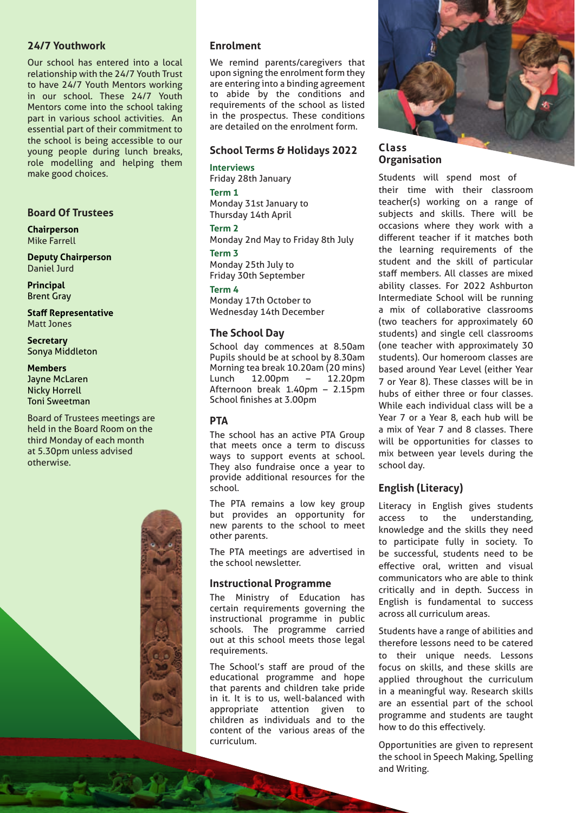# **24/7 Youthwork**

Our school has entered into a local relationship with the 24/7 Youth Trust to have 24/7 Youth Mentors working in our school. These 24/7 Youth Mentors come into the school taking part in various school activities. An essential part of their commitment to the school is being accessible to our young people during lunch breaks, role modelling and helping them make good choices.

# **Board Of Trustees**

**Chairperson** Mike Farrell

**Deputy Chairperson** Daniel Jurd

**Principal** Brent Gray

**Staff Representative** Matt Jones

**Secretary** Sonya Middleton

#### **Members**

Jayne McLaren Nicky Horrell Toni Sweetman

Board of Trustees meetings are held in the Board Room on the third Monday of each month at 5.30pm unless advised otherwise.



#### **Enrolment**

We remind parents/caregivers that upon signing the enrolment form they are entering into a binding agreement to abide by the conditions and requirements of the school as listed in the prospectus. These conditions are detailed on the enrolment form.

#### **School Terms & Holidays 2022**

**Interviews**

Friday 28th January

**Term 1**  Monday 31st January to Thursday 14th April

**Term 2**  Monday 2nd May to Friday 8th July

**Term 3**  Monday 25th July to Friday 30th September

#### **Term 4**

Monday 17th October to Wednesday 14th December

# **The School Day**

School day commences at 8.50am Pupils should be at school by 8.30am Morning tea break 10.20am (20 mins) Lunch 12.00pm – 12.20pm Afternoon break 1.40pm – 2.15pm School finishes at 3.00pm

# **PTA**

The school has an active PTA Group that meets once a term to discuss ways to support events at school. They also fundraise once a year to provide additional resources for the school.

The PTA remains a low key group but provides an opportunity for new parents to the school to meet other parents.

The PTA meetings are advertised in the school newsletter.

# **Instructional Programme**

The Ministry of Education has certain requirements governing the instructional programme in public schools. The programme carried out at this school meets those legal requirements.

The School's staff are proud of the educational programme and hope that parents and children take pride in it. It is to us, well-balanced with appropriate attention given to children as individuals and to the content of the various areas of the curriculum.



# **Class Organisation**

Students will spend most of their time with their classroom teacher(s) working on a range of subjects and skills. There will be occasions where they work with a different teacher if it matches both the learning requirements of the student and the skill of particular staff members. All classes are mixed ability classes. For 2022 Ashburton Intermediate School will be running a mix of collaborative classrooms (two teachers for approximately 60 students) and single cell classrooms (one teacher with approximately 30 students). Our homeroom classes are based around Year Level (either Year 7 or Year 8). These classes will be in hubs of either three or four classes. While each individual class will be a Year 7 or a Year 8, each hub will be a mix of Year 7 and 8 classes. There will be opportunities for classes to mix between year levels during the school day.

# **English (Literacy)**

Literacy in English gives students access to the understanding, knowledge and the skills they need to participate fully in society. To be successful, students need to be effective oral, written and visual communicators who are able to think critically and in depth. Success in English is fundamental to success across all curriculum areas.

Students have a range of abilities and therefore lessons need to be catered to their unique needs. Lessons focus on skills, and these skills are applied throughout the curriculum in a meaningful way. Research skills are an essential part of the school programme and students are taught how to do this effectively.

Opportunities are given to represent the school in Speech Making, Spelling and Writing.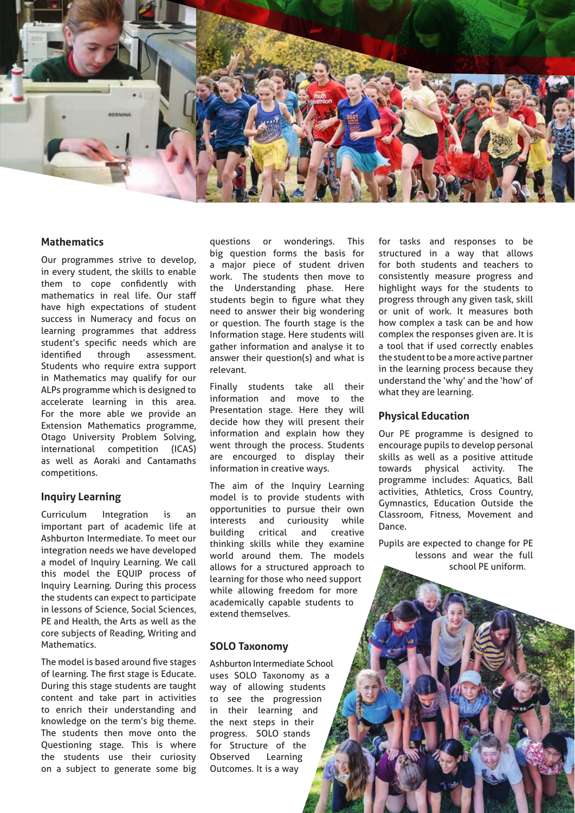

#### **Mathematics**

Our programmes strive to develop, in every student, the skills to enable them to cope confidently with mathematics in real life. Our staff have high expectations of student success in Numeracy and focus on learning programmes that address student's specific needs which are identified through assessment. Students who require extra support in Mathematics may qualify for our ALPs programme which is designed to accelerate learning in this area. For the more able we provide an Extension Mathematics programme, Otago University Problem Solving, international competition (ICAS) as well as Aoraki and Cantamaths competitions.

# **Inquiry Learning**

Curriculum Integration is an important part of academic life at Ashburton Intermediate. To meet our integration needs we have developed a model of Inquiry Learning. We call this model the EQUIP process of Inquiry Learning. During this process the students can expect to participate in lessons of Science, Social Sciences, PE and Health, the Arts as well as the core subjects of Reading, Writing and Mathematics.

The model is based around five stages of learning. The first stage is Educate. During this stage students are taught content and take part in activities to enrich their understanding and knowledge on the term's big theme. The students then move onto the Questioning stage. This is where the students use their curiosity on a subject to generate some big questions or wonderings. This big question forms the basis for a major piece of student driven work. The students then move to the Understanding phase. Here students begin to figure what they need to answer their big wondering or question. The fourth stage is the Information stage. Here students will gather information and analyse it to answer their question(s) and what is relevant.

Finally students take all their information and move to the Presentation stage. Here they will decide how they will present their information and explain how they went through the process. Students are encourged to display their information in creative ways.

The aim of the Inquiry Learning model is to provide students with opportunities to pursue their own interests and curiousity while building critical and creative thinking skills while they examine world around them. The models allows for a structured approach to learning for those who need support while allowing freedom for more academically capable students to extend themselves.

#### **SOLO Taxonomy**

Ashburton Intermediate School uses SOLO Taxonomy as a way of allowing students to see the progression in their learning and the next steps in their progress. SOLO stands for Structure of the Observed Learning Outcomes. It is a way

for tasks and responses to be structured in a way that allows for both students and teachers to consistently measure progress and highlight ways for the students to progress through any given task, skill or unit of work. It measures both how complex a task can be and how complex the responses given are. It is a tool that if used correctly enables the student to be a more active partner in the learning process because they understand the 'why' and the 'how' of what they are learning.

#### **Physical Education**

Our PE programme is designed to encourage pupils to develop personal skills as well as a positive attitude towards physical activity. The programme includes: Aquatics, Ball activities, Athletics, Cross Country, Gymnastics, Education Outside the Classroom, Fitness, Movement and Dance.

Pupils are expected to change for PE lessons and wear the full school PE uniform.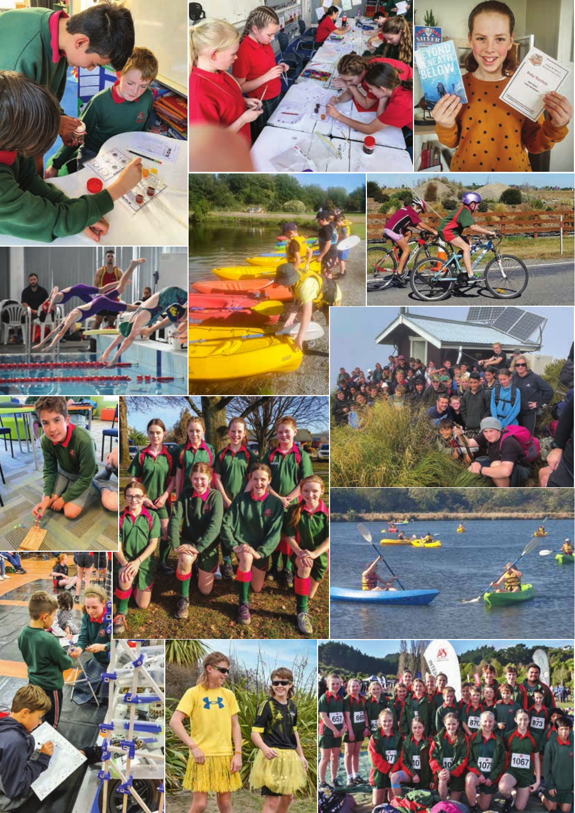







![](_page_3_Picture_4.jpeg)

![](_page_3_Picture_5.jpeg)

![](_page_3_Picture_6.jpeg)

![](_page_3_Picture_7.jpeg)

![](_page_3_Picture_8.jpeg)

![](_page_3_Picture_9.jpeg)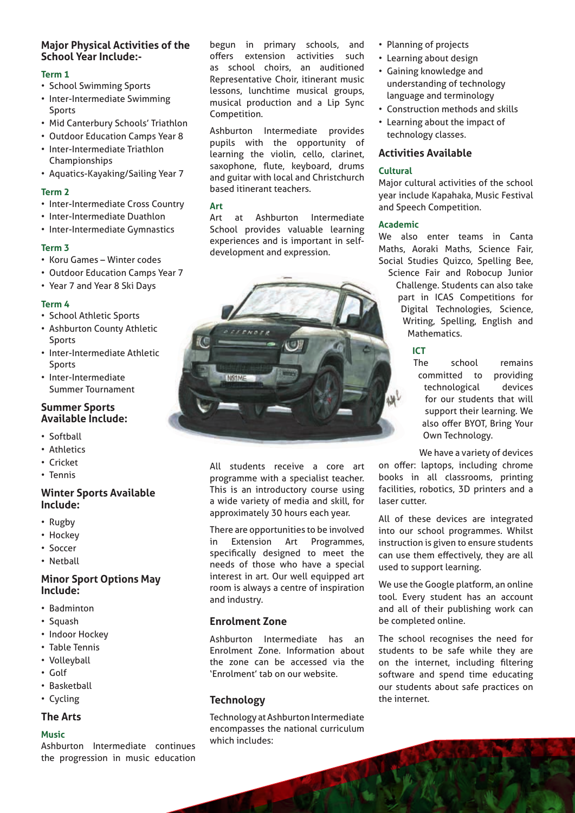# **Major Physical Activities of the School Year Include:-**

#### **Term 1**

- School Swimming Sports
- Inter-Intermediate Swimming Sports
- Mid Canterbury Schools' Triathlon
- Outdoor Education Camps Year 8
- Inter-Intermediate Triathlon Championships
- Aquatics-Kayaking/Sailing Year 7

#### **Term 2**

- Inter-Intermediate Cross Country
- Inter-Intermediate Duathlon
- Inter-Intermediate Gymnastics

#### **Term 3**

- Koru Games Winter codes
- Outdoor Education Camps Year 7
- Year 7 and Year 8 Ski Days

#### **Term 4**

- School Athletic Sports
- Ashburton County Athletic **Sports**
- Inter-Intermediate Athletic **Sports**
- Inter-Intermediate Summer Tournament

#### **Summer Sports Available Include:**

- Softball
- Athletics
- Cricket
- Tennis

#### **Winter Sports Available Include:**

- Rugby
- Hockey
- Soccer
- Netball

# **Minor Sport Options May Include:**

- Badminton
- Squash
- Indoor Hockey
- Table Tennis
- Volleyball
- Golf
- Basketball
- Cycling

#### **The Arts**

#### **Music**

Ashburton Intermediate continues the progression in music education

begun in primary schools, and offers extension activities such as school choirs, an auditioned Representative Choir, itinerant music lessons, lunchtime musical groups, musical production and a Lip Sync Competition.

Ashburton Intermediate provides pupils with the opportunity of learning the violin, cello, clarinet, saxophone, flute, keyboard, drums and guitar with local and Christchurch based itinerant teachers.

#### **Art**

Art at Ashburton Intermediate School provides valuable learning experiences and is important in selfdevelopment and expression.

![](_page_4_Picture_47.jpeg)

All students receive a core art programme with a specialist teacher. This is an introductory course using a wide variety of media and skill, for approximately 30 hours each year.

There are opportunities to be involved in Extension Art Programmes, specifically designed to meet the needs of those who have a special interest in art. Our well equipped art room is always a centre of inspiration and industry.

# **Enrolment Zone**

Ashburton Intermediate has an Enrolment Zone. Information about the zone can be accessed via the 'Enrolment' tab on our website.

# **Technology**

Technology at Ashburton Intermediate encompasses the national curriculum which includes:

- Planning of projects
- Learning about design
- Gaining knowledge and understanding of technology language and terminology
- Construction methods and skills
- Learning about the impact of technology classes.

# **Activities Available**

#### **Cultural**

Major cultural activities of the school year include Kapahaka, Music Festival and Speech Competition.

#### **Academic**

We also enter teams in Canta Maths, Aoraki Maths, Science Fair, Social Studies Quizco, Spelling Bee, Science Fair and Robocup Junior Challenge. Students can also take part in ICAS Competitions for Digital Technologies, Science, Writing, Spelling, English and Mathematics.

# **ICT**

The school remains committed to providing technological devices for our students that will support their learning. We also offer BYOT, Bring Your Own Technology.

We have a variety of devices

on offer: laptops, including chrome books in all classrooms, printing facilities, robotics, 3D printers and a laser cutter.

All of these devices are integrated into our school programmes. Whilst instruction is given to ensure students can use them effectively, they are all used to support learning.

We use the Google platform, an online tool. Every student has an account and all of their publishing work can be completed online.

The school recognises the need for students to be safe while they are on the internet, including filtering software and spend time educating our students about safe practices on the internet.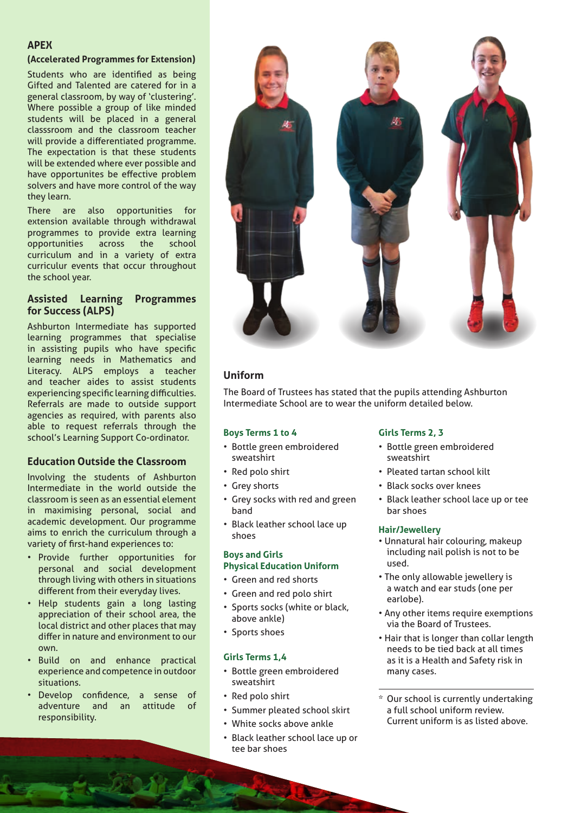# **APEX**

#### **(Accelerated Programmes for Extension)**

Students who are identified as being Gifted and Talented are catered for in a general classroom, by way of 'clustering'. Where possible a group of like minded students will be placed in a general classsroom and the classroom teacher will provide a differentiated programme. The expectation is that these students will be extended where ever possible and have opportunites be effective problem solvers and have more control of the way they learn.

There are also opportunities for extension available through withdrawal programmes to provide extra learning opportunities across the school curriculum and in a variety of extra curriculur events that occur throughout the school year.

# **Assisted Learning Programmes for Success (ALPS)**

Ashburton Intermediate has supported learning programmes that specialise in assisting pupils who have specific learning needs in Mathematics and Literacy. ALPS employs a teacher and teacher aides to assist students experiencing specific learning difficulties. Referrals are made to outside support agencies as required, with parents also able to request referrals through the school's Learning Support Co-ordinator.

# **Education Outside the Classroom**

Involving the students of Ashburton Intermediate in the world outside the classroom is seen as an essential element in maximising personal, social and academic development. Our programme aims to enrich the curriculum through a variety of first-hand experiences to:

- Provide further opportunities for personal and social development through living with others in situations different from their everyday lives.
- Help students gain a long lasting appreciation of their school area, the local district and other places that may differ in nature and environment to our own.
- Build on and enhance practical experience and competence in outdoor situations.
- Develop confidence, a sense of adventure and an attitude of responsibility.

![](_page_5_Picture_12.jpeg)

# **Uniform**

The Board of Trustees has stated that the pupils attending Ashburton Intermediate School are to wear the uniform detailed below.

#### **Boys Terms 1 to 4**

- Bottle green embroidered sweatshirt
- Red polo shirt
- Grey shorts
- Grey socks with red and green band
- Black leather school lace up shoes

#### **Boys and Girls Physical Education Uniform**

- Green and red shorts
- Green and red polo shirt
- Sports socks (white or black, above ankle)
- Sports shoes

# **Girls Terms 1,4**

- Bottle green embroidered sweatshirt
- Red polo shirt
- Summer pleated school skirt
- White socks above ankle
- Black leather school lace up or tee bar shoes

# **Girls Terms 2, 3**

- Bottle green embroidered sweatshirt
- Pleated tartan school kilt
- Black socks over knees
- Black leather school lace up or tee bar shoes

#### **Hair/Jewellery**

- Unnatural hair colouring, makeup including nail polish is not to be used.
- The only allowable jewellery is a watch and ear studs (one per earlobe).
- Any other items require exemptions via the Board of Trustees.
- Hair that is longer than collar length needs to be tied back at all times as it is a Health and Safety risk in many cases.
- Our school is currently undertaking a full school uniform review. Current uniform is as listed above.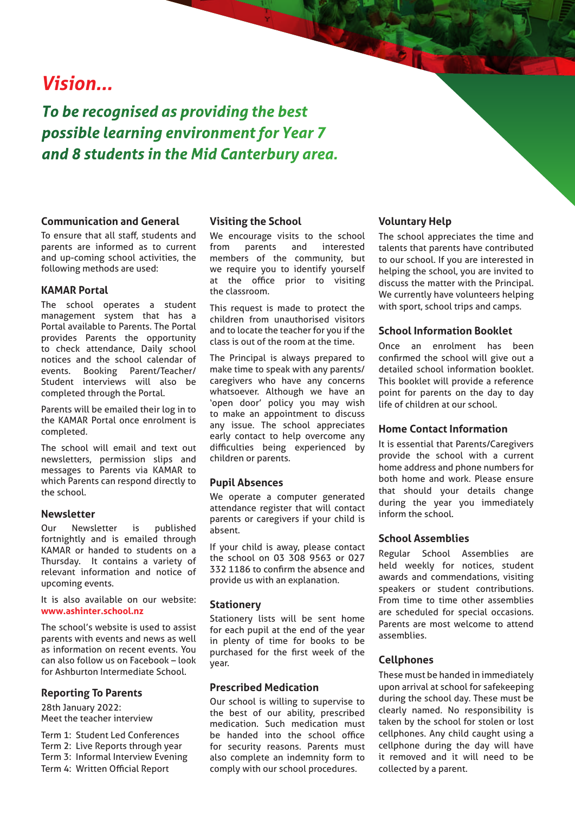# *Vision...*

*To be recognised as providing the best possible learning environment for Year 7 and 8 students in the Mid Canterbury area.*

# **Communication and General**

To ensure that all staff, students and parents are informed as to current and up-coming school activities, the following methods are used:

# **KAMAR Portal**

The school operates a student management system that has a Portal available to Parents. The Portal provides Parents the opportunity to check attendance, Daily school notices and the school calendar of events. Booking Parent/Teacher/ Student interviews will also be completed through the Portal.

Parents will be emailed their log in to the KAMAR Portal once enrolment is completed.

The school will email and text out newsletters, permission slips and messages to Parents via KAMAR to which Parents can respond directly to the school.

# **Newsletter**

Our Newsletter is published fortnightly and is emailed through KAMAR or handed to students on a Thursday. It contains a variety of relevant information and notice of upcoming events.

It is also available on our website: **www.ashinter.school.nz**

The school's website is used to assist parents with events and news as well as information on recent events. You can also follow us on Facebook – look for Ashburton Intermediate School.

# **Reporting To Parents**

28th January 2022: Meet the teacher interview

Term 1: Student Led Conferences

- Term 2: Live Reports through year Term 3: Informal Interview Evening
- Term 4: Written Official Report

# **Visiting the School**

We encourage visits to the school from parents and interested members of the community, but we require you to identify yourself at the office prior to visiting the classroom.

This request is made to protect the children from unauthorised visitors and to locate the teacher for you if the class is out of the room at the time.

The Principal is always prepared to make time to speak with any parents/ caregivers who have any concerns whatsoever. Although we have an 'open door' policy you may wish to make an appointment to discuss any issue. The school appreciates early contact to help overcome any difficulties being experienced by children or parents.

# **Pupil Absences**

We operate a computer generated attendance register that will contact parents or caregivers if your child is absent.

If your child is away, please contact the school on 03 308 9563 or 027 332 1186 to confirm the absence and provide us with an explanation.

# **Stationery**

Stationery lists will be sent home for each pupil at the end of the year in plenty of time for books to be purchased for the first week of the year.

# **Prescribed Medication**

Our school is willing to supervise to the best of our ability, prescribed medication. Such medication must be handed into the school office for security reasons. Parents must also complete an indemnity form to comply with our school procedures.

# **Voluntary Help**

The school appreciates the time and talents that parents have contributed to our school. If you are interested in helping the school, you are invited to discuss the matter with the Principal. We currently have volunteers helping with sport, school trips and camps.

# **School Information Booklet**

Once an enrolment has been confirmed the school will give out a detailed school information booklet. This booklet will provide a reference point for parents on the day to day life of children at our school.

# **Home Contact Information**

It is essential that Parents/Caregivers provide the school with a current home address and phone numbers for both home and work. Please ensure that should your details change during the year you immediately inform the school.

# **School Assemblies**

Regular School Assemblies are held weekly for notices, student awards and commendations, visiting speakers or student contributions. From time to time other assemblies are scheduled for special occasions. Parents are most welcome to attend assemblies.

# **Cellphones**

These must be handed in immediately upon arrival at school for safekeeping during the school day. These must be clearly named. No responsibility is taken by the school for stolen or lost cellphones. Any child caught using a cellphone during the day will have it removed and it will need to be collected by a parent.